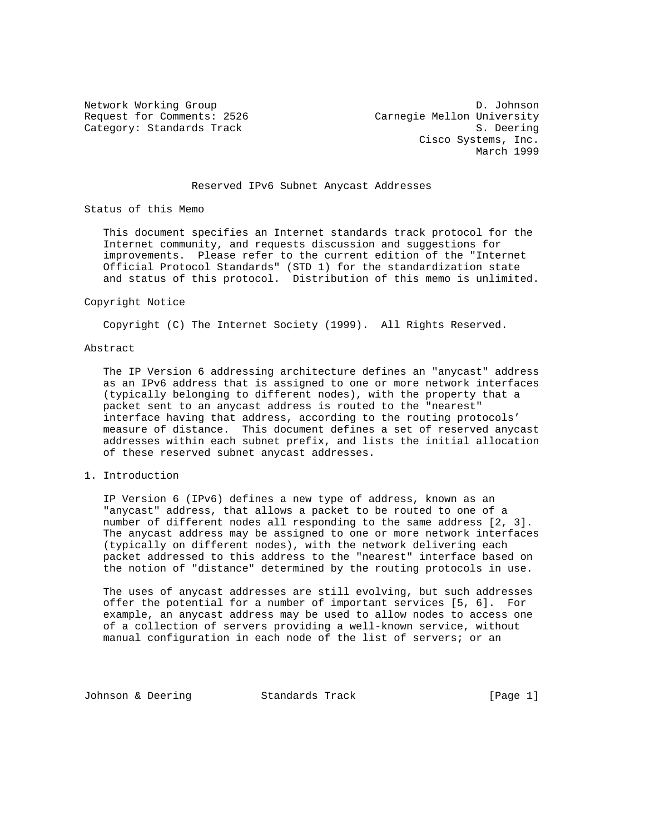Network Working Group D. Johnson Request for Comments: 2526 Carnegie Mellon University Category: Standards Track S. Deering Cisco Systems, Inc. March 1999

## Reserved IPv6 Subnet Anycast Addresses

Status of this Memo

 This document specifies an Internet standards track protocol for the Internet community, and requests discussion and suggestions for improvements. Please refer to the current edition of the "Internet Official Protocol Standards" (STD 1) for the standardization state and status of this protocol. Distribution of this memo is unlimited.

#### Copyright Notice

Copyright (C) The Internet Society (1999). All Rights Reserved.

### Abstract

 The IP Version 6 addressing architecture defines an "anycast" address as an IPv6 address that is assigned to one or more network interfaces (typically belonging to different nodes), with the property that a packet sent to an anycast address is routed to the "nearest" interface having that address, according to the routing protocols' measure of distance. This document defines a set of reserved anycast addresses within each subnet prefix, and lists the initial allocation of these reserved subnet anycast addresses.

## 1. Introduction

 IP Version 6 (IPv6) defines a new type of address, known as an "anycast" address, that allows a packet to be routed to one of a number of different nodes all responding to the same address [2, 3]. The anycast address may be assigned to one or more network interfaces (typically on different nodes), with the network delivering each packet addressed to this address to the "nearest" interface based on the notion of "distance" determined by the routing protocols in use.

 The uses of anycast addresses are still evolving, but such addresses offer the potential for a number of important services [5, 6]. For example, an anycast address may be used to allow nodes to access one of a collection of servers providing a well-known service, without manual configuration in each node of the list of servers; or an

Johnson & Deering Standards Track [Page 1]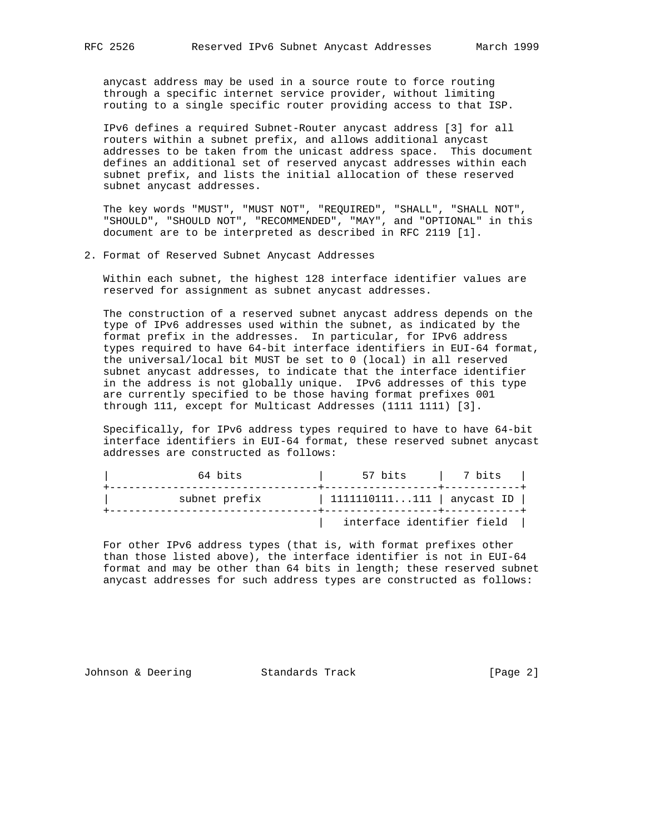anycast address may be used in a source route to force routing through a specific internet service provider, without limiting routing to a single specific router providing access to that ISP.

 IPv6 defines a required Subnet-Router anycast address [3] for all routers within a subnet prefix, and allows additional anycast addresses to be taken from the unicast address space. This document defines an additional set of reserved anycast addresses within each subnet prefix, and lists the initial allocation of these reserved subnet anycast addresses.

 The key words "MUST", "MUST NOT", "REQUIRED", "SHALL", "SHALL NOT", "SHOULD", "SHOULD NOT", "RECOMMENDED", "MAY", and "OPTIONAL" in this document are to be interpreted as described in RFC 2119 [1].

2. Format of Reserved Subnet Anycast Addresses

 Within each subnet, the highest 128 interface identifier values are reserved for assignment as subnet anycast addresses.

 The construction of a reserved subnet anycast address depends on the type of IPv6 addresses used within the subnet, as indicated by the format prefix in the addresses. In particular, for IPv6 address types required to have 64-bit interface identifiers in EUI-64 format, the universal/local bit MUST be set to 0 (local) in all reserved subnet anycast addresses, to indicate that the interface identifier in the address is not globally unique. IPv6 addresses of this type are currently specified to be those having format prefixes 001 through 111, except for Multicast Addresses (1111 1111) [3].

 Specifically, for IPv6 address types required to have to have 64-bit interface identifiers in EUI-64 format, these reserved subnet anycast addresses are constructed as follows:

| 64 bits       | 57 bits                    | 7 bits |  |
|---------------|----------------------------|--------|--|
| subnet prefix | 1111110111111   anycast ID |        |  |
|               | interface identifier field |        |  |

 For other IPv6 address types (that is, with format prefixes other than those listed above), the interface identifier is not in EUI-64 format and may be other than 64 bits in length; these reserved subnet anycast addresses for such address types are constructed as follows:

Johnson & Deering Standards Track [Page 2]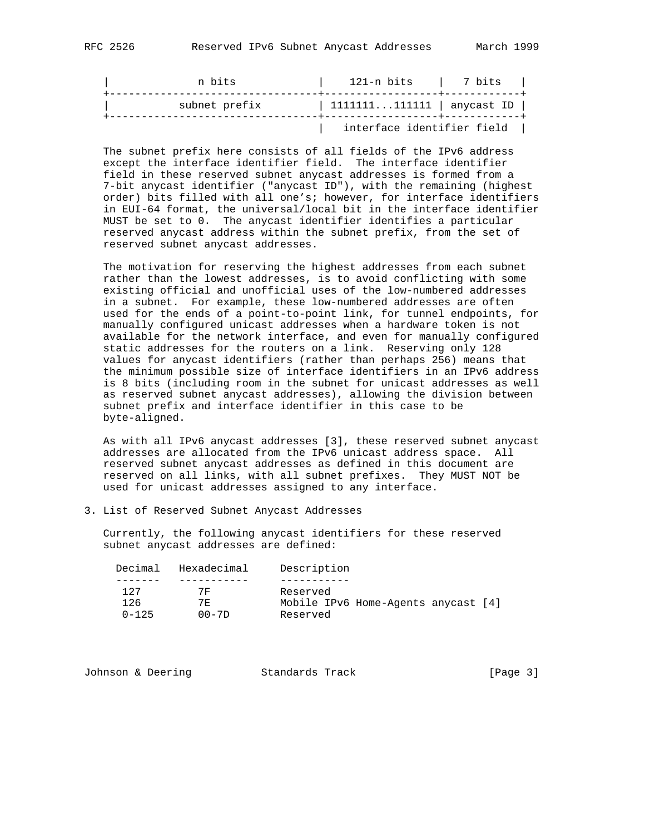| n bits        | 121-n bits                 | l 7 bits |  |
|---------------|----------------------------|----------|--|
| subnet prefix | 1111111111111   anycast ID |          |  |
|               | interface identifier field |          |  |

 The subnet prefix here consists of all fields of the IPv6 address except the interface identifier field. The interface identifier field in these reserved subnet anycast addresses is formed from a 7-bit anycast identifier ("anycast ID"), with the remaining (highest order) bits filled with all one's; however, for interface identifiers in EUI-64 format, the universal/local bit in the interface identifier MUST be set to 0. The anycast identifier identifies a particular reserved anycast address within the subnet prefix, from the set of reserved subnet anycast addresses.

 The motivation for reserving the highest addresses from each subnet rather than the lowest addresses, is to avoid conflicting with some existing official and unofficial uses of the low-numbered addresses in a subnet. For example, these low-numbered addresses are often used for the ends of a point-to-point link, for tunnel endpoints, for manually configured unicast addresses when a hardware token is not available for the network interface, and even for manually configured static addresses for the routers on a link. Reserving only 128 values for anycast identifiers (rather than perhaps 256) means that the minimum possible size of interface identifiers in an IPv6 address is 8 bits (including room in the subnet for unicast addresses as well as reserved subnet anycast addresses), allowing the division between subnet prefix and interface identifier in this case to be byte-aligned.

 As with all IPv6 anycast addresses [3], these reserved subnet anycast addresses are allocated from the IPv6 unicast address space. All reserved subnet anycast addresses as defined in this document are reserved on all links, with all subnet prefixes. They MUST NOT be used for unicast addresses assigned to any interface.

3. List of Reserved Subnet Anycast Addresses

 Currently, the following anycast identifiers for these reserved subnet anycast addresses are defined:

| Decimal   | Hexadecimal | Description                         |
|-----------|-------------|-------------------------------------|
|           |             |                                     |
| 127       | 7묘          | Reserved                            |
| 126       | 7 F.        | Mobile IPv6 Home-Agents anycast [4] |
| $0 - 125$ | $00 - 7D$   | Reserved                            |

| Johnson & Deering<br>Standards Track | [Page $3$ ] |
|--------------------------------------|-------------|
|--------------------------------------|-------------|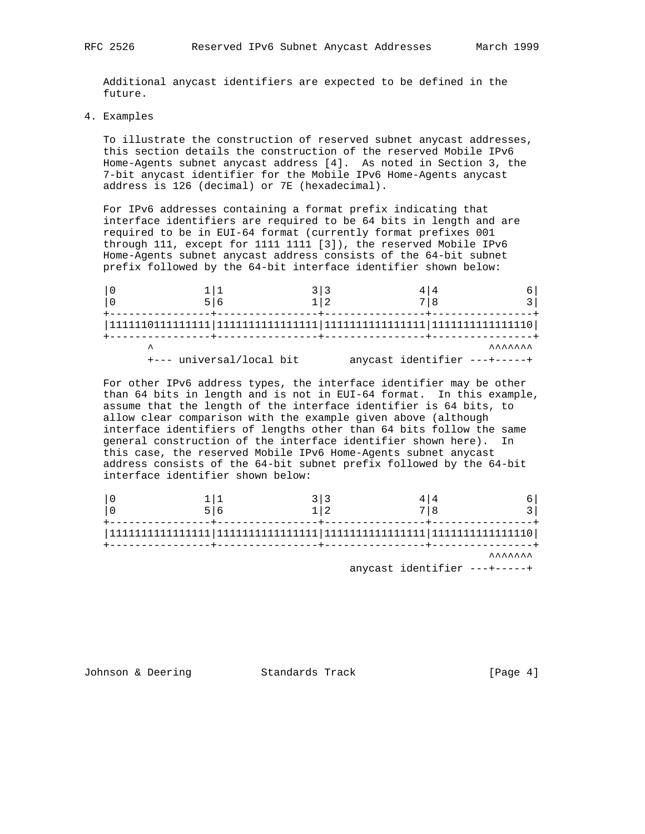Additional anycast identifiers are expected to be defined in the future.

4. Examples

 To illustrate the construction of reserved subnet anycast addresses, this section details the construction of the reserved Mobile IPv6 Home-Agents subnet anycast address [4]. As noted in Section 3, the 7-bit anycast identifier for the Mobile IPv6 Home-Agents anycast address is 126 (decimal) or 7E (hexadecimal).

 For IPv6 addresses containing a format prefix indicating that interface identifiers are required to be 64 bits in length and are required to be in EUI-64 format (currently format prefixes 001 through 111, except for 1111 1111 [3]), the reserved Mobile IPv6 Home-Agents subnet anycast address consists of the 64-bit subnet prefix followed by the 64-bit interface identifier shown below:

| +--- universal/local bit |  | <b>AAAAAA</b><br>anycast identifier ---+-----+ |
|--------------------------|--|------------------------------------------------|

 For other IPv6 address types, the interface identifier may be other than 64 bits in length and is not in EUI-64 format. In this example, assume that the length of the interface identifier is 64 bits, to allow clear comparison with the example given above (although interface identifiers of lengths other than 64 bits follow the same general construction of the interface identifier shown here). In this case, the reserved Mobile IPv6 Home-Agents subnet anycast address consists of the 64-bit subnet prefix followed by the 64-bit interface identifier shown below:

|  |  | <b>AAAAAAA</b> |
|--|--|----------------|

anycast identifier ---+-----+

Johnson & Deering Standards Track [Page 4]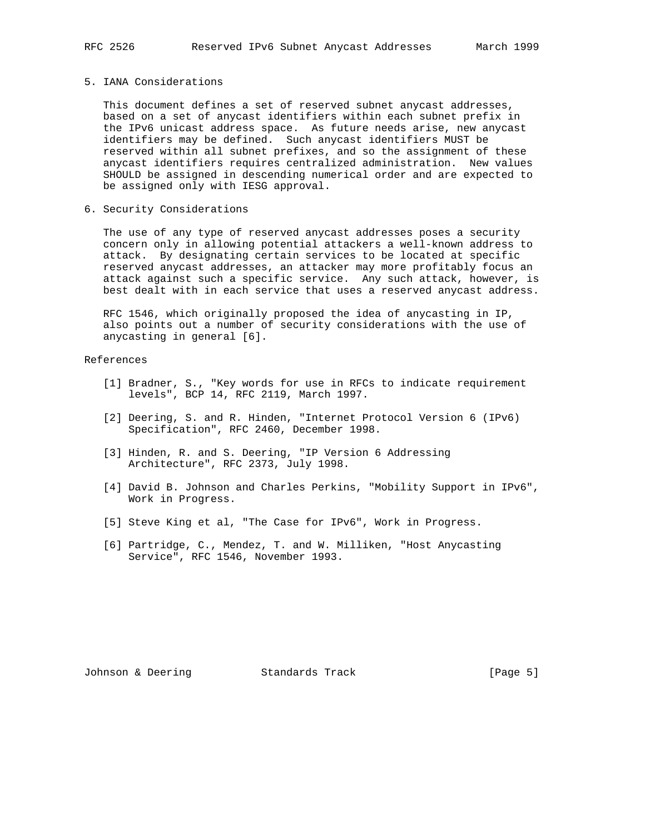#### 5. IANA Considerations

 This document defines a set of reserved subnet anycast addresses, based on a set of anycast identifiers within each subnet prefix in the IPv6 unicast address space. As future needs arise, new anycast identifiers may be defined. Such anycast identifiers MUST be reserved within all subnet prefixes, and so the assignment of these anycast identifiers requires centralized administration. New values SHOULD be assigned in descending numerical order and are expected to be assigned only with IESG approval.

6. Security Considerations

 The use of any type of reserved anycast addresses poses a security concern only in allowing potential attackers a well-known address to attack. By designating certain services to be located at specific reserved anycast addresses, an attacker may more profitably focus an attack against such a specific service. Any such attack, however, is best dealt with in each service that uses a reserved anycast address.

 RFC 1546, which originally proposed the idea of anycasting in IP, also points out a number of security considerations with the use of anycasting in general [6].

## References

- [1] Bradner, S., "Key words for use in RFCs to indicate requirement levels", BCP 14, RFC 2119, March 1997.
- [2] Deering, S. and R. Hinden, "Internet Protocol Version 6 (IPv6) Specification", RFC 2460, December 1998.
- [3] Hinden, R. and S. Deering, "IP Version 6 Addressing Architecture", RFC 2373, July 1998.
- [4] David B. Johnson and Charles Perkins, "Mobility Support in IPv6", Work in Progress.
- [5] Steve King et al, "The Case for IPv6", Work in Progress.
- [6] Partridge, C., Mendez, T. and W. Milliken, "Host Anycasting Service", RFC 1546, November 1993.

Johnson & Deering Standards Track [Page 5]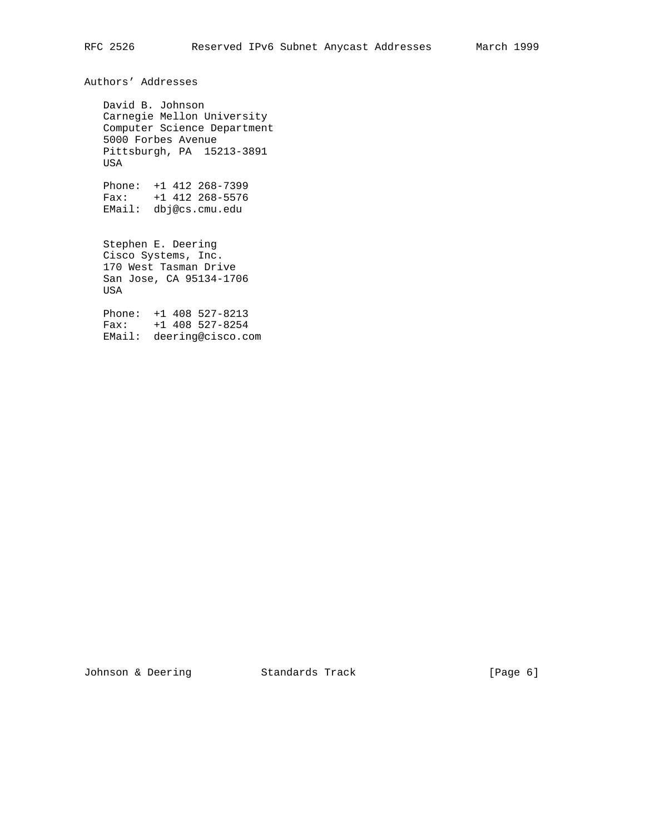Authors' Addresses

 David B. Johnson Carnegie Mellon University Computer Science Department 5000 Forbes Avenue Pittsburgh, PA 15213-3891 USA

 Phone: +1 412 268-7399 Fax: +1 412 268-5576 EMail: dbj@cs.cmu.edu

 Stephen E. Deering Cisco Systems, Inc. 170 West Tasman Drive San Jose, CA 95134-1706 USA

 Phone: +1 408 527-8213 Fax: +1 408 527-8254 EMail: deering@cisco.com